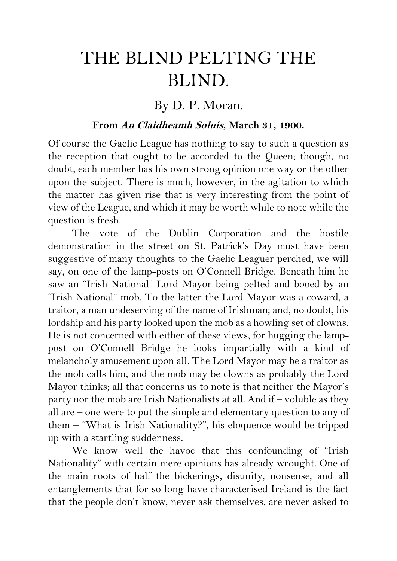## THE BLIND PELTING THE BLIND.

## By D. P. Moran.

## **From An Claidheamh Soluis, March 31, 1900.**

Of course the Gaelic League has nothing to say to such a question as the reception that ought to be accorded to the Queen; though, no doubt, each member has his own strong opinion one way or the other upon the subject. There is much, however, in the agitation to which the matter has given rise that is very interesting from the point of view of the League, and which it may be worth while to note while the question is fresh.

The vote of the Dublin Corporation and the hostile demonstration in the street on St. Patrick's Day must have been suggestive of many thoughts to the Gaelic Leaguer perched, we will say, on one of the lamp-posts on O'Connell Bridge. Beneath him he saw an "Irish National" Lord Mayor being pelted and booed by an "Irish National" mob. To the latter the Lord Mayor was a coward, a traitor, a man undeserving of the name of Irishman; and, no doubt, his lordship and his party looked upon the mob as a howling set of clowns. He is not concerned with either of these views, for hugging the lamppost on O'Connell Bridge he looks impartially with a kind of melancholy amusement upon all. The Lord Mayor may be a traitor as the mob calls him, and the mob may be clowns as probably the Lord Mayor thinks; all that concerns us to note is that neither the Mayor's party nor the mob are Irish Nationalists at all. And if – voluble as they all are – one were to put the simple and elementary question to any of them – "What is Irish Nationality?", his eloquence would be tripped up with a startling suddenness.

We know well the havoc that this confounding of "Irish Nationality" with certain mere opinions has already wrought. One of the main roots of half the bickerings, disunity, nonsense, and all entanglements that for so long have characterised Ireland is the fact that the people don't know, never ask themselves, are never asked to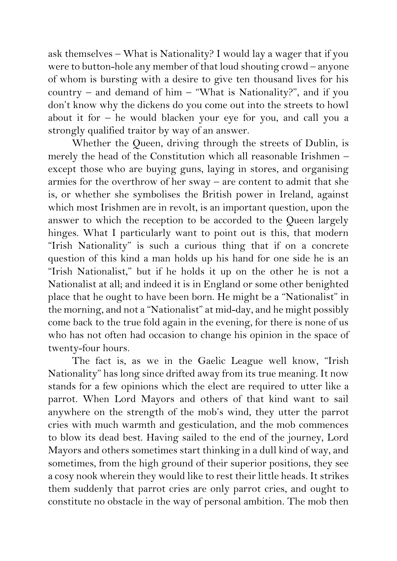ask themselves – What is Nationality? I would lay a wager that if you were to button-hole any member of that loud shouting crowd – anyone of whom is bursting with a desire to give ten thousand lives for his country – and demand of him – "What is Nationality?", and if you don't know why the dickens do you come out into the streets to howl about it for – he would blacken your eye for you, and call you a strongly qualified traitor by way of an answer.

Whether the Queen, driving through the streets of Dublin, is merely the head of the Constitution which all reasonable Irishmen – except those who are buying guns, laying in stores, and organising armies for the overthrow of her sway – are content to admit that she is, or whether she symbolises the British power in Ireland, against which most Irishmen are in revolt, is an important question, upon the answer to which the reception to be accorded to the Queen largely hinges. What I particularly want to point out is this, that modern "Irish Nationality" is such a curious thing that if on a concrete question of this kind a man holds up his hand for one side he is an "Irish Nationalist," but if he holds it up on the other he is not a Nationalist at all; and indeed it is in England or some other benighted place that he ought to have been born. He might be a "Nationalist" in the morning, and not a "Nationalist" at mid-day, and he might possibly come back to the true fold again in the evening, for there is none of us who has not often had occasion to change his opinion in the space of twenty-four hours.

The fact is, as we in the Gaelic League well know, "Irish Nationality" has long since drifted away from its true meaning. It now stands for a few opinions which the elect are required to utter like a parrot. When Lord Mayors and others of that kind want to sail anywhere on the strength of the mob's wind, they utter the parrot cries with much warmth and gesticulation, and the mob commences to blow its dead best. Having sailed to the end of the journey, Lord Mayors and others sometimes start thinking in a dull kind of way, and sometimes, from the high ground of their superior positions, they see a cosy nook wherein they would like to rest their little heads. It strikes them suddenly that parrot cries are only parrot cries, and ought to constitute no obstacle in the way of personal ambition. The mob then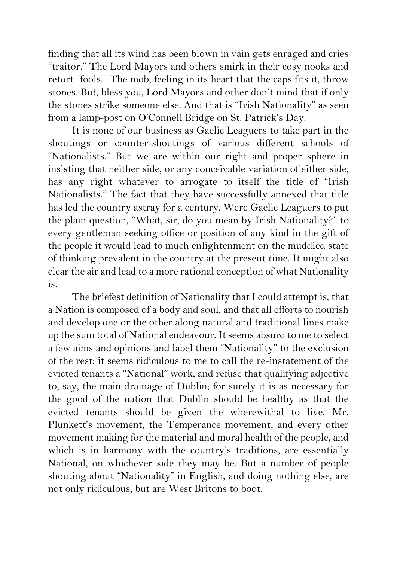finding that all its wind has been blown in vain gets enraged and cries "traitor." The Lord Mayors and others smirk in their cosy nooks and retort "fools." The mob, feeling in its heart that the caps fits it, throw stones. But, bless you, Lord Mayors and other don't mind that if only the stones strike someone else. And that is "Irish Nationality" as seen from a lamp-post on O'Connell Bridge on St. Patrick's Day.

It is none of our business as Gaelic Leaguers to take part in the shoutings or counter-shoutings of various different schools of "Nationalists." But we are within our right and proper sphere in insisting that neither side, or any conceivable variation of either side, has any right whatever to arrogate to itself the title of "Irish Nationalists." The fact that they have successfully annexed that title has led the country astray for a century. Were Gaelic Leaguers to put the plain question, "What, sir, do you mean by Irish Nationality?" to every gentleman seeking office or position of any kind in the gift of the people it would lead to much enlightenment on the muddled state of thinking prevalent in the country at the present time. It might also clear the air and lead to a more rational conception of what Nationality is.

The briefest definition of Nationality that I could attempt is, that a Nation is composed of a body and soul, and that all efforts to nourish and develop one or the other along natural and traditional lines make up the sum total of National endeavour. It seems absurd to me to select a few aims and opinions and label them "Nationality" to the exclusion of the rest; it seems ridiculous to me to call the re-instatement of the evicted tenants a "National" work, and refuse that qualifying adjective to, say, the main drainage of Dublin; for surely it is as necessary for the good of the nation that Dublin should be healthy as that the evicted tenants should be given the wherewithal to live. Mr. Plunkett's movement, the Temperance movement, and every other movement making for the material and moral health of the people, and which is in harmony with the country's traditions, are essentially National, on whichever side they may be. But a number of people shouting about "Nationality" in English, and doing nothing else, are not only ridiculous, but are West Britons to boot.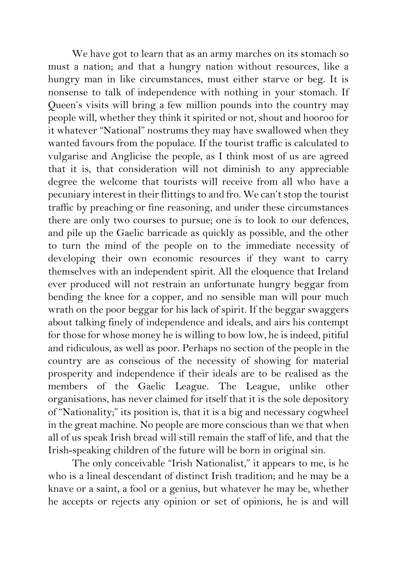We have got to learn that as an army marches on its stomach so must a nation; and that a hungry nation without resources, like a hungry man in like circumstances, must either starve or beg. It is nonsense to talk of independence with nothing in your stomach. If Queen's visits will bring a few million pounds into the country may people will, whether they think it spirited or not, shout and hooroo for it whatever "National" nostrums they may have swallowed when they wanted favours from the populace. If the tourist traffic is calculated to vulgarise and Anglicise the people, as I think most of us are agreed that it is, that consideration will not diminish to any appreciable degree the welcome that tourists will receive from all who have a pecuniary interest in their flittings to and fro. We can't stop the tourist traffic by preaching or fine reasoning, and under these circumstances there are only two courses to pursue; one is to look to our defences, and pile up the Gaelic barricade as quickly as possible, and the other to turn the mind of the people on to the immediate necessity of developing their own economic resources if they want to carry themselves with an independent spirit. All the eloquence that Ireland ever produced will not restrain an unfortunate hungry beggar from bending the knee for a copper, and no sensible man will pour much wrath on the poor beggar for his lack of spirit. If the beggar swaggers about talking finely of independence and ideals, and airs his contempt for those for whose money he is willing to bow low, he is indeed, pitiful and ridiculous, as well as poor. Perhaps no section of the people in the country are as conscious of the necessity of showing for material prosperity and independence if their ideals are to be realised as the members of the Gaelic League. The League, unlike other organisations, has never claimed for itself that it is the sole depository of "Nationality;" its position is, that it is a big and necessary cogwheel in the great machine. No people are more conscious than we that when all of us speak Irish bread will still remain the staff of life, and that the Irish-speaking children of the future will be born in original sin.

The only conceivable "Irish Nationalist," it appears to me, is he who is a lineal descendant of distinct Irish tradition; and he may be a knave or a saint, a fool or a genius, but whatever he may be, whether he accepts or rejects any opinion or set of opinions, he is and will